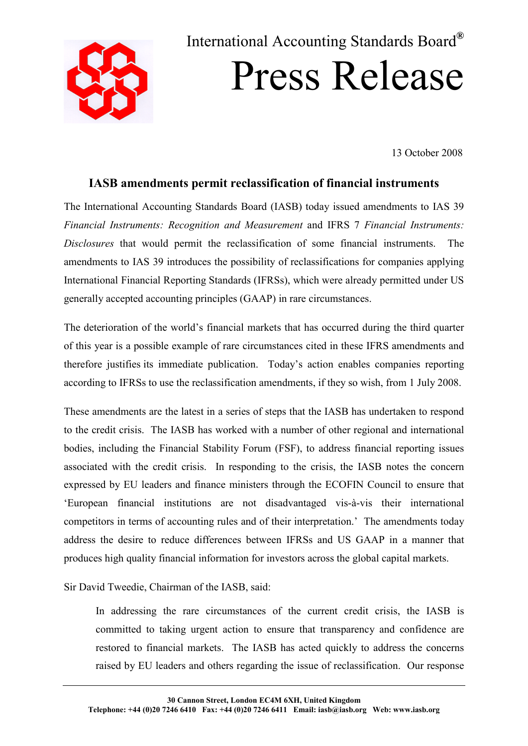

# International Accounting Standards Board**®** Press Release

13 October 2008

## **IASB amendments permit reclassification of financial instruments**

The International Accounting Standards Board (IASB) today issued amendments to IAS 39 *Financial Instruments: Recognition and Measurement* and IFRS 7 *Financial Instruments: Disclosures* that would permit the reclassification of some financial instruments. The amendments to IAS 39 introduces the possibility of reclassifications for companies applying International Financial Reporting Standards (IFRSs), which were already permitted under US generally accepted accounting principles (GAAP) in rare circumstances.

The deterioration of the world's financial markets that has occurred during the third quarter of this year is a possible example of rare circumstances cited in these IFRS amendments and therefore justifies its immediate publication. Today's action enables companies reporting according to IFRSs to use the reclassification amendments, if they so wish, from 1 July 2008.

These amendments are the latest in a series of steps that the IASB has undertaken to respond to the credit crisis. The IASB has worked with a number of other regional and international bodies, including the Financial Stability Forum (FSF), to address financial reporting issues associated with the credit crisis. In responding to the crisis, the IASB notes the concern expressed by EU leaders and finance ministers through the ECOFIN Council to ensure that 'European financial institutions are not disadvantaged vis-à-vis their international competitors in terms of accounting rules and of their interpretation.' The amendments today address the desire to reduce differences between IFRSs and US GAAP in a manner that produces high quality financial information for investors across the global capital markets.

Sir David Tweedie, Chairman of the IASB, said:

In addressing the rare circumstances of the current credit crisis, the IASB is committed to taking urgent action to ensure that transparency and confidence are restored to financial markets. The IASB has acted quickly to address the concerns raised by EU leaders and others regarding the issue of reclassification. Our response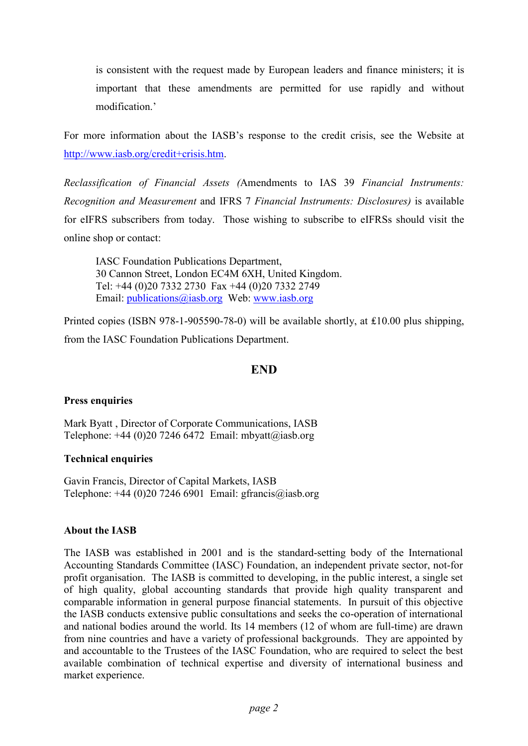is consistent with the request made by European leaders and finance ministers; it is important that these amendments are permitted for use rapidly and without modification.'

For more information about the IASB's response to the credit crisis, see the Website at http://www.iasb.org/credit+crisis.htm.

*Reclassification of Financial Assets (*Amendments to IAS 39 *Financial Instruments: Recognition and Measurement* and IFRS 7 *Financial Instruments: Disclosures)* is available for eIFRS subscribers from today. Those wishing to subscribe to eIFRSs should visit the online shop or contact:

 IASC Foundation Publications Department, 30 Cannon Street, London EC4M 6XH, United Kingdom. Tel: +44 (0)20 7332 2730 Fax +44 (0)20 7332 2749 Email: publications@iasb.org Web: www.iasb.org

Printed copies (ISBN 978-1-905590-78-0) will be available shortly, at ₤10.00 plus shipping, from the IASC Foundation Publications Department.

### **END**

#### **Press enquiries**

Mark Byatt , Director of Corporate Communications, IASB Telephone:  $+44$  (0)20 7246 6472 Email: mbyatt@iasb.org

#### **Technical enquiries**

Gavin Francis, Director of Capital Markets, IASB Telephone:  $+44$  (0)20 7246 6901 Email: gfrancis@iasb.org

#### **About the IASB**

The IASB was established in 2001 and is the standard-setting body of the International Accounting Standards Committee (IASC) Foundation, an independent private sector, not-for profit organisation. The IASB is committed to developing, in the public interest, a single set of high quality, global accounting standards that provide high quality transparent and comparable information in general purpose financial statements. In pursuit of this objective the IASB conducts extensive public consultations and seeks the co-operation of international and national bodies around the world. Its 14 members (12 of whom are full-time) are drawn from nine countries and have a variety of professional backgrounds. They are appointed by and accountable to the Trustees of the IASC Foundation, who are required to select the best available combination of technical expertise and diversity of international business and market experience.